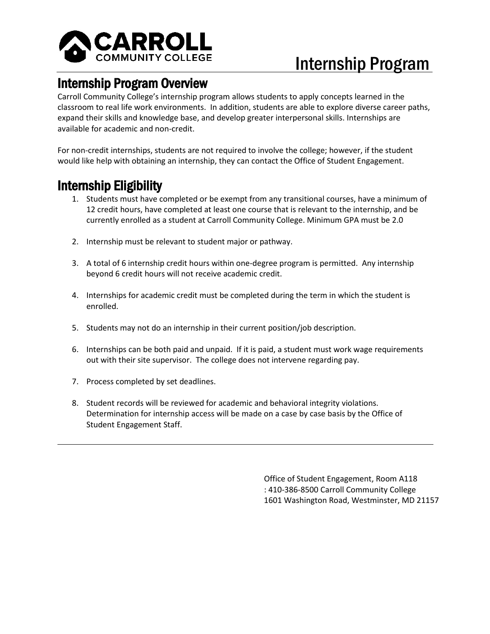

# Internship Program

**Internship Program Overview**<br>Carroll Community College's internship program allows students to apply concepts learned in the classroom to real life work environments. In addition, students are able to explore diverse career paths, expand their skills and knowledge base, and develop greater interpersonal skills. Internships are available for academic and non-credit.

For non-credit internships, students are not required to involve the college; however, if the student would like help with obtaining an internship, they can contact the Office of Student Engagement.

- Internship Eligibility<br>1. Students must have completed or be exempt from any transitional courses, have a minimum of 12 credit hours, have completed at least one course that is relevant to the internship, and be currently enrolled as a student at Carroll Community College. Minimum GPA must be 2.0
	- 2. Internship must be relevant to student major or pathway.
	- 3. A total of 6 internship credit hours within one-degree program is permitted. Any internship beyond 6 credit hours will not receive academic credit.
	- 4. Internships for academic credit must be completed during the term in which the student is enrolled.
	- 5. Students may not do an internship in their current position/job description.
	- 6. Internships can be both paid and unpaid. If it is paid, a student must work wage requirements out with their site supervisor. The college does not intervene regarding pay.
	- 7. Process completed by set deadlines.
	- 8. Student records will be reviewed for academic and behavioral integrity violations. Determination for internship access will be made on a case by case basis by the Office of Student Engagement Staff.

Office of Student Engagement, Room A118 : 410-386-8500 Carroll Community College 1601 Washington Road, Westminster, MD 21157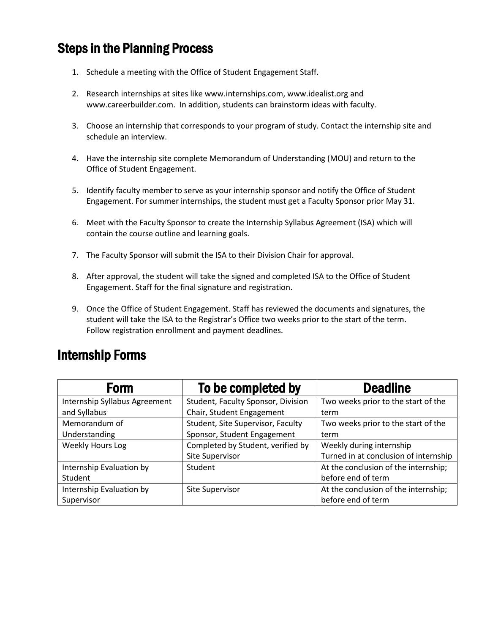## Steps in the Planning Process

- 1. Schedule a meeting with the Office of Student Engagement Staff.
- 2. Research internships at sites like www.internships.com, www.idealist.org and www.careerbuilder.com. In addition, students can brainstorm ideas with faculty.
- 3. Choose an internship that corresponds to your program of study. Contact the internship site and schedule an interview.
- 4. Have the internship site complete Memorandum of Understanding (MOU) and return to the Office of Student Engagement.
- 5. Identify faculty member to serve as your internship sponsor and notify the Office of Student Engagement. For summer internships, the student must get a Faculty Sponsor prior May 31.
- 6. Meet with the Faculty Sponsor to create the Internship Syllabus Agreement (ISA) which will contain the course outline and learning goals.
- 7. The Faculty Sponsor will submit the ISA to their Division Chair for approval.
- 8. After approval, the student will take the signed and completed ISA to the Office of Student Engagement. Staff for the final signature and registration.
- 9. Once the Office of Student Engagement. Staff has reviewed the documents and signatures, the student will take the ISA to the Registrar's Office two weeks prior to the start of the term. Follow registration enrollment and payment deadlines.

## Internship Forms

| <b>Form</b>                   | To be completed by                 | <b>Deadline</b>                       |
|-------------------------------|------------------------------------|---------------------------------------|
| Internship Syllabus Agreement | Student, Faculty Sponsor, Division | Two weeks prior to the start of the   |
| and Syllabus                  | Chair, Student Engagement          | term                                  |
| Memorandum of                 | Student, Site Supervisor, Faculty  | Two weeks prior to the start of the   |
| Understanding                 | Sponsor, Student Engagement        | term                                  |
| Weekly Hours Log              | Completed by Student, verified by  | Weekly during internship              |
|                               | Site Supervisor                    | Turned in at conclusion of internship |
| Internship Evaluation by      | Student                            | At the conclusion of the internship;  |
| Student                       |                                    | before end of term                    |
| Internship Evaluation by      | Site Supervisor                    | At the conclusion of the internship;  |
| Supervisor                    |                                    | before end of term                    |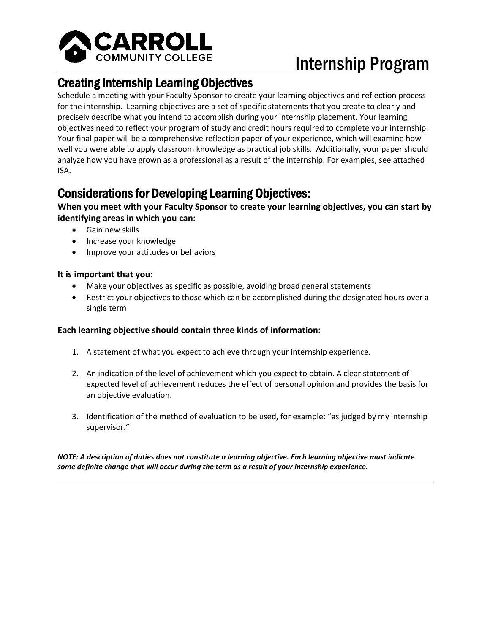

# Internship Program

**Creating Internship Learning Objectives**<br>Schedule a meeting with your Faculty Sponsor to create your learning objectives and reflection process for the internship. Learning objectives are a set of specific statements that you create to clearly and precisely describe what you intend to accomplish during your internship placement. Your learning objectives need to reflect your program of study and credit hours required to complete your internship. Your final paper will be a comprehensive reflection paper of your experience, which will examine how well you were able to apply classroom knowledge as practical job skills. Additionally, your paper should analyze how you have grown as a professional as a result of the internship. For examples, see attached ISA.

## Considerations for Developing Learning Objectives:

**When you meet with your Faculty Sponsor to create your learning objectives, you can start by identifying areas in which you can:**

- Gain new skills
- Increase your knowledge
- Improve your attitudes or behaviors

### **It is important that you:**

- Make your objectives as specific as possible, avoiding broad general statements
- Restrict your objectives to those which can be accomplished during the designated hours over a single term

## **Each learning objective should contain three kinds of information:**

- 1. A statement of what you expect to achieve through your internship experience.
- 2. An indication of the level of achievement which you expect to obtain. A clear statement of expected level of achievement reduces the effect of personal opinion and provides the basis for an objective evaluation.
- 3. Identification of the method of evaluation to be used, for example: "as judged by my internship supervisor."

*NOTE: A description of duties does not constitute a learning objective. Each learning objective must indicate some definite change that will occur during the term as a result of your internship experience***.**